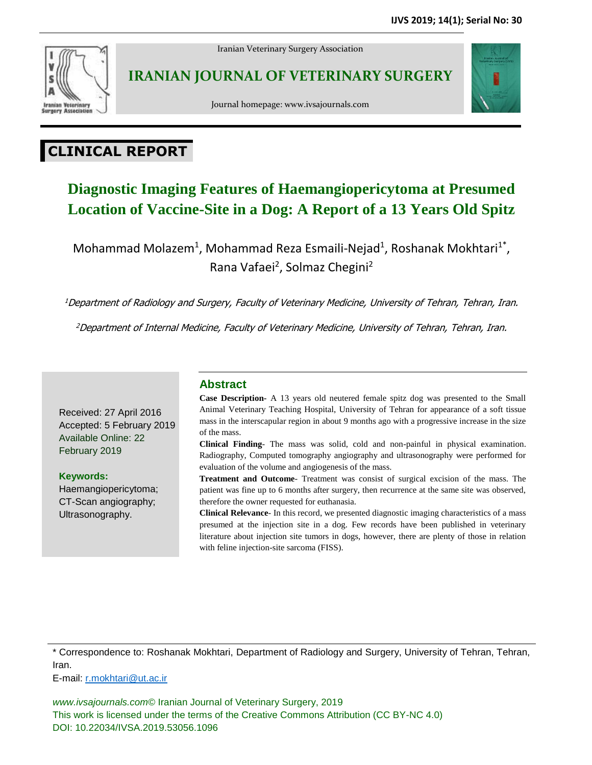

Iranian Veterinary Surgery Association

## **IRANIAN JOURNAL OF VETERINARY SURGERY**





# **CLINICAL REPORT**

## **Diagnostic Imaging Features of Haemangiopericytoma at Presumed Location of Vaccine-Site in a Dog: A Report of a 13 Years Old Spitz**

Mohammad Molazem<sup>1</sup>, Mohammad Reza Esmaili-Nejad<sup>1</sup>, Roshanak Mokhtari<sup>1\*</sup>, Rana Vafaei<sup>2</sup>, Solmaz Chegini<sup>2</sup>

<sup>1</sup>Department of Radiology and Surgery, Faculty of Veterinary Medicine, University of Tehran, Tehran, Iran.

<sup>2</sup>Department of Internal Medicine, Faculty of Veterinary Medicine, University of Tehran, Tehran, Iran.

Received: 27 April 2016 Accepted: 5 February 2019 Available Online: 22 February 2019

**Keywords:** Haemangiopericytoma; CT-Scan angiography; Ultrasonography.

### **Abstract**

**Case Description-** A 13 years old neutered female spitz dog was presented to the Small Animal Veterinary Teaching Hospital, University of Tehran for appearance of a soft tissue mass in the interscapular region in about 9 months ago with a progressive increase in the size of the mass.

**Clinical Finding**- The mass was solid, cold and non-painful in physical examination. Radiography, Computed tomography angiography and ultrasonography were performed for evaluation of the volume and angiogenesis of the mass.

**Treatment and Outcome**- Treatment was consist of surgical excision of the mass. The patient was fine up to 6 months after surgery, then recurrence at the same site was observed, therefore the owner requested for euthanasia.

**Clinical Relevance**- In this record, we presented diagnostic imaging characteristics of a mass presumed at the injection site in a dog. Few records have been published in veterinary literature about injection site tumors in dogs, however, there are plenty of those in relation with feline injection-site sarcoma (FISS).

\* Correspondence to: Roshanak Mokhtari, Department of Radiology and Surgery, University of Tehran, Tehran, Iran.

E-mail: [r.mokhtari@ut.ac.ir](mailto:r.mokhtari@ut.ac.ir)

*www.ivsajournals.com©* Iranian Journal of Veterinary Surgery, 2019 This work is licensed under the terms of the Creative Commons Attribution (CC BY-NC 4.0) DOI: 10.22034/IVSA.2019.53056.1096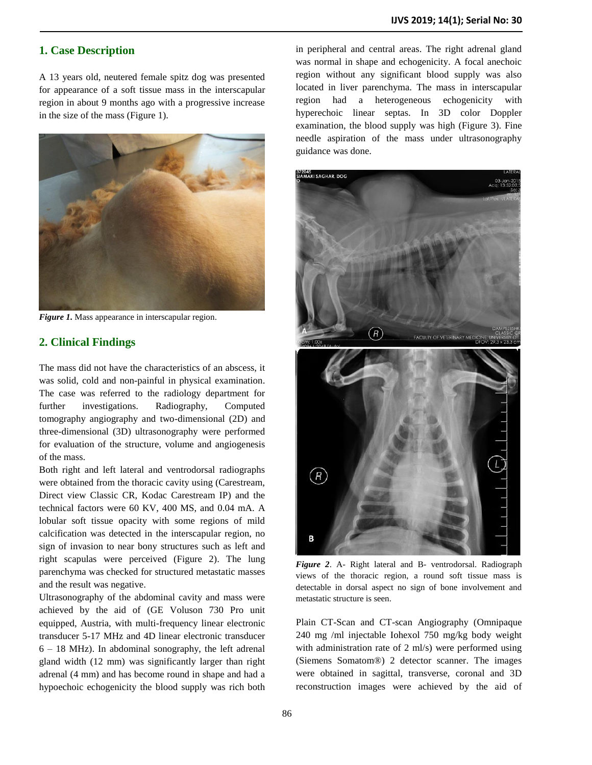#### **1. Case Description**

A 13 years old, neutered female spitz dog was presented for appearance of a soft tissue mass in the interscapular region in about 9 months ago with a progressive increase in the size of the mass (Figure 1).



*Figure 1.* Mass appearance in interscapular region.

#### **2. Clinical Findings**

The mass did not have the characteristics of an abscess, it was solid, cold and non-painful in physical examination. The case was referred to the radiology department for further investigations. Radiography, Computed tomography angiography and two-dimensional (2D) and three-dimensional (3D) ultrasonography were performed for evaluation of the structure, volume and angiogenesis of the mass.

Both right and left lateral and ventrodorsal radiographs were obtained from the thoracic cavity using (Carestream, Direct view Classic CR, Kodac Carestream IP) and the technical factors were 60 KV, 400 MS, and 0.04 mA. A lobular soft tissue opacity with some regions of mild calcification was detected in the interscapular region, no sign of invasion to near bony structures such as left and right scapulas were perceived (Figure 2). The lung parenchyma was checked for structured metastatic masses and the result was negative.

Ultrasonography of the abdominal cavity and mass were achieved by the aid of (GE Voluson 730 Pro unit equipped, Austria, with multi-frequency linear electronic transducer 5-17 MHz and 4D linear electronic transducer 6 – 18 MHz). In abdominal sonography, the left adrenal gland width (12 mm) was significantly larger than right adrenal (4 mm) and has become round in shape and had a hypoechoic echogenicity the blood supply was rich both

in peripheral and central areas. The right adrenal gland was normal in shape and echogenicity. A focal anechoic region without any significant blood supply was also located in liver parenchyma. The mass in interscapular region had a heterogeneous echogenicity with hyperechoic linear septas. In 3D color Doppler examination, the blood supply was high (Figure 3). Fine needle aspiration of the mass under ultrasonography guidance was done.



*Figure 2*. A- Right lateral and B- ventrodorsal. Radiograph views of the thoracic region, a round soft tissue mass is detectable in dorsal aspect no sign of bone involvement and metastatic structure is seen.

Plain CT-Scan and CT-scan Angiography (Omnipaque 240 mg /ml injectable Iohexol 750 mg/kg body weight with administration rate of 2 ml/s) were performed using (Siemens Somatom®) 2 detector scanner. The images were obtained in sagittal, transverse, coronal and 3D reconstruction images were achieved by the aid of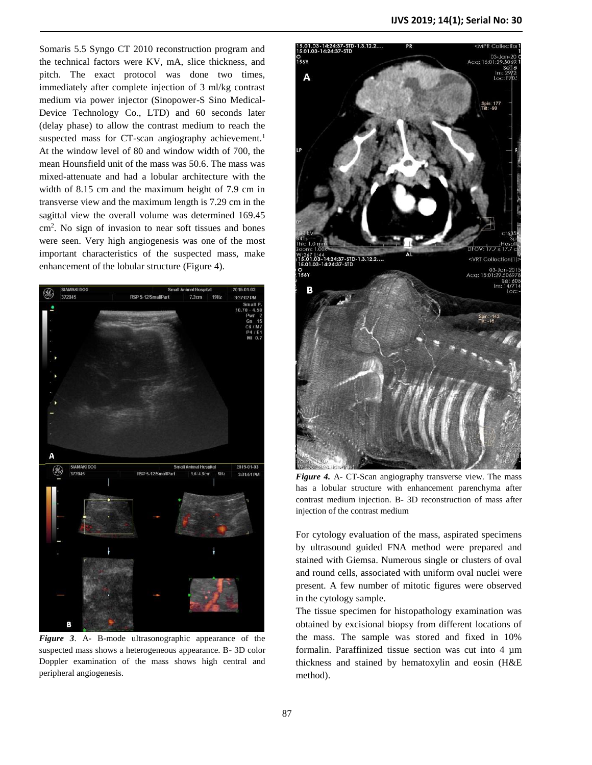Somaris 5.5 Syngo CT 2010 reconstruction program and the technical factors were KV, mA, slice thickness, and pitch. The exact protocol was done two times, immediately after complete injection of 3 ml/kg contrast medium via power injector (Sinopower-S Sino Medical-Device Technology Co., LTD) and 60 seconds later (delay phase) to allow the contrast medium to reach the suspected mass for CT-scan angiography achievement.<sup>1</sup> At the window level of 80 and window width of 700, the mean Hounsfield unit of the mass was 50.6. The mass was mixed-attenuate and had a lobular architecture with the width of 8.15 cm and the maximum height of 7.9 cm in transverse view and the maximum length is 7.29 cm in the sagittal view the overall volume was determined 169.45 cm<sup>2</sup> . No sign of invasion to near soft tissues and bones were seen. Very high angiogenesis was one of the most important characteristics of the suspected mass, make enhancement of the lobular structure (Figure 4).



*Figure 3*. A- B-mode ultrasonographic appearance of the suspected mass shows a heterogeneous appearance. B- 3D color Doppler examination of the mass shows high central and peripheral angiogenesis.



*Figure 4.* A- CT-Scan angiography transverse view. The mass has a lobular structure with enhancement parenchyma after contrast medium injection. B- 3D reconstruction of mass after injection of the contrast medium

For cytology evaluation of the mass, aspirated specimens by ultrasound guided FNA method were prepared and stained with Giemsa. Numerous single or clusters of oval and round cells, associated with uniform oval nuclei were present. A few number of mitotic figures were observed in the cytology sample.

The tissue specimen for histopathology examination was obtained by excisional biopsy from different locations of the mass. The sample was stored and fixed in 10% formalin. Paraffinized tissue section was cut into 4 µm thickness and stained by hematoxylin and eosin (H&E method).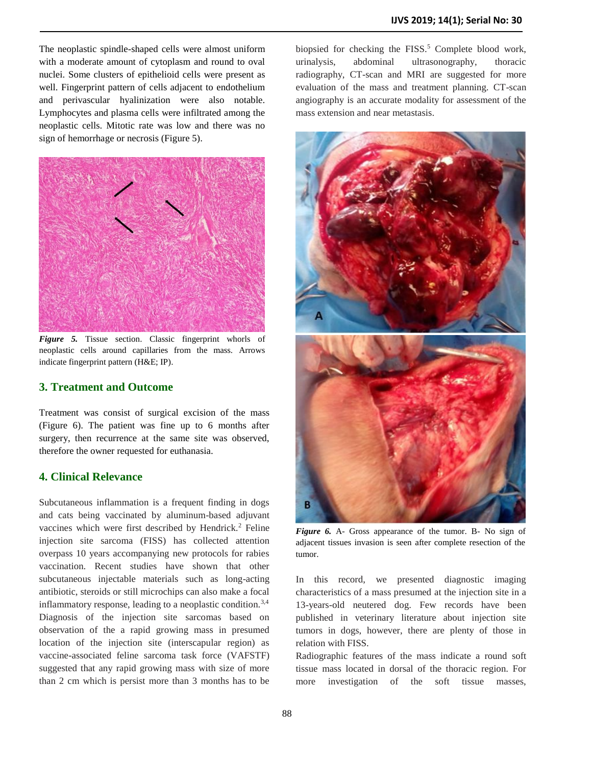The neoplastic spindle-shaped cells were almost uniform with a moderate amount of cytoplasm and round to oval nuclei. Some clusters of epithelioid cells were present as well. Fingerprint pattern of cells adjacent to endothelium and perivascular hyalinization were also notable. Lymphocytes and plasma cells were infiltrated among the neoplastic cells. Mitotic rate was low and there was no sign of hemorrhage or necrosis (Figure 5).



*Figure 5.* Tissue section. Classic fingerprint whorls of neoplastic cells around capillaries from the mass. Arrows indicate fingerprint pattern (H&E; IP).

#### **3. Treatment and Outcome**

Treatment was consist of surgical excision of the mass (Figure 6). The patient was fine up to 6 months after surgery, then recurrence at the same site was observed, therefore the owner requested for euthanasia.

#### **4. Clinical Relevance**

Subcutaneous inflammation is a frequent finding in dogs and cats being vaccinated by aluminum-based adjuvant vaccines which were first described by Hendrick.<sup>2</sup> Feline injection site sarcoma (FISS) has collected attention overpass 10 years accompanying new protocols for rabies vaccination. Recent studies have shown that other subcutaneous injectable materials such as long-acting antibiotic, steroids or still microchips can also make a focal inflammatory response, leading to a neoplastic condition.<sup>3,4</sup> Diagnosis of the injection site sarcomas based on observation of the a rapid growing mass in presumed location of the injection site (interscapular region) as vaccine-associated feline sarcoma task force (VAFSTF) suggested that any rapid growing mass with size of more than 2 cm which is persist more than 3 months has to be

biopsied for checking the  $FISS$ <sup>5</sup> Complete blood work, urinalysis, abdominal ultrasonography, thoracic radiography, CT-scan and MRI are suggested for more evaluation of the mass and treatment planning. CT-scan angiography is an accurate modality for assessment of the mass extension and near metastasis.



*Figure 6.* A- Gross appearance of the tumor. B- No sign of adjacent tissues invasion is seen after complete resection of the tumor.

In this record, we presented diagnostic imaging characteristics of a mass presumed at the injection site in a 13-years-old neutered dog. Few records have been published in veterinary literature about injection site tumors in dogs, however, there are plenty of those in relation with FISS.

Radiographic features of the mass indicate a round soft tissue mass located in dorsal of the thoracic region. For more investigation of the soft tissue masses,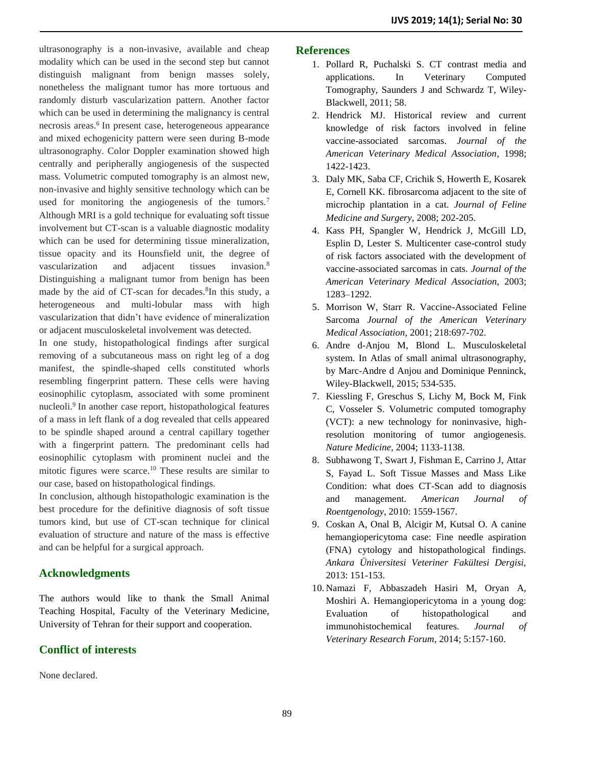ultrasonography is a non-invasive, available and cheap modality which can be used in the second step but cannot distinguish malignant from benign masses solely, nonetheless the malignant tumor has more tortuous and randomly disturb vascularization pattern. Another factor which can be used in determining the malignancy is central necrosis areas.<sup>6</sup> In present case, heterogeneous appearance and mixed echogenicity pattern were seen during B-mode ultrasonography. Color Doppler examination showed high centrally and peripherally angiogenesis of the suspected mass. Volumetric computed tomography is an almost new, non-invasive and highly sensitive technology which can be used for monitoring the angiogenesis of the tumors.<sup>7</sup> Although MRI is a gold technique for evaluating soft tissue involvement but CT-scan is a valuable diagnostic modality which can be used for determining tissue mineralization, tissue opacity and its Hounsfield unit, the degree of vascularization and adjacent tissues invasion.<sup>8</sup> Distinguishing a malignant tumor from benign has been made by the aid of CT-scan for decades.<sup>8</sup>In this study, a heterogeneous and multi-lobular mass with high vascularization that didn't have evidence of mineralization or adjacent musculoskeletal involvement was detected.

In one study, histopathological findings after surgical removing of a subcutaneous mass on right leg of a dog manifest, the spindle-shaped cells constituted whorls resembling fingerprint pattern. These cells were having eosinophilic cytoplasm, associated with some prominent nucleoli.<sup>9</sup> In another case report, histopathological features of a mass in left flank of a dog revealed that cells appeared to be spindle shaped around a central capillary together with a fingerprint pattern. The predominant cells had eosinophilic cytoplasm with prominent nuclei and the mitotic figures were scarce.<sup>10</sup> These results are similar to our case, based on histopathological findings.

In conclusion, although histopathologic examination is the best procedure for the definitive diagnosis of soft tissue tumors kind, but use of CT-scan technique for clinical evaluation of structure and nature of the mass is effective and can be helpful for a surgical approach.

### **Acknowledgments**

The authors would like to thank the Small Animal Teaching Hospital, Faculty of the Veterinary Medicine, University of Tehran for their support and cooperation.

### **Conflict of interests**

None declared.

#### **References**

- 1. Pollard R, Puchalski S. CT contrast media and applications. In Veterinary Computed Tomography, Saunders J and Schwardz T, Wiley-Blackwell, 2011; 58.
- 2. Hendrick MJ. Historical review and current knowledge of risk factors involved in feline vaccine-associated sarcomas. *Journal of the American Veterinary Medical Association*, 1998; 1422-1423.
- 3. Daly MK, Saba CF, Crichik S, Howerth E, Kosarek E, Cornell KK. fibrosarcoma adjacent to the site of microchip plantation in a cat. *Journal of Feline Medicine and Surgery*, 2008; 202-205.
- 4. Kass PH, Spangler W, Hendrick J, McGill LD, Esplin D, Lester S. Multicenter case-control study of risk factors associated with the development of vaccine-associated sarcomas in cats. *Journal of the American Veterinary Medical Association*, 2003; 1283–1292.
- 5. Morrison W, Starr R. Vaccine-Associated Feline Sarcoma *Journal of the American Veterinary Medical Association,* 2001; 218:697-702.
- 6. Andre d-Anjou M, Blond L. Musculoskeletal system. In Atlas of small animal ultrasonography, by Marc-Andre d Anjou and Dominique Penninck, Wiley-Blackwell, 2015; 534-535.
- 7. Kiessling F, Greschus S, Lichy M, Bock M, Fink C, Vosseler S. Volumetric computed tomography (VCT): a new technology for noninvasive, highresolution monitoring of tumor angiogenesis. *Nature Medicine*, 2004; 1133-1138.
- 8. Subhawong T, Swart J, Fishman E, Carrino J, Attar S, Fayad L. Soft Tissue Masses and Mass Like Condition: what does CT-Scan add to diagnosis and management. *American Journal of Roentgenology*, 2010: 1559-1567.
- 9. Coskan A, Onal B, Alcigir M, Kutsal O. A canine hemangiopericytoma case: Fine needle aspiration (FNA) cytology and histopathological findings. *Ankara Üniversitesi Veteriner Fakültesi Dergisi,* 2013: 151-153.
- 10. Namazi F, Abbaszadeh Hasiri M, Oryan A, Moshiri A. Hemangiopericytoma in a young dog: Evaluation of histopathological and immunohistochemical features. *Journal of Veterinary Research Forum*, 2014; 5:157-160.